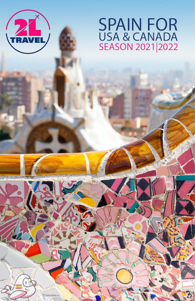

# **SPAIN FOR** USA & CANADA<br>SEASON 2021 2022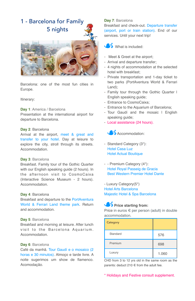# 1 - Barcelona for Family 5 nights



Barcelona: one of the most fun cities in Europe.

#### Itinerary:

#### **Day 1**: America / Barcelona

Presentation at the international airport for departure to Barcelona.

#### **Day 2**: Barcelona

Arrival at the airport, meet & great and transfer to your hotel. Day at leisure to explore the city, stroll through its streets. Accommodation.

#### **Day 3**: Barcelona

Breakfast. Family tour of the Gothic Quarter with our English speaking guide (2 hours). In the afternoon visit to CosmoCaixa (Interactive Science Museum - 2 hours). Accommodation.

#### **Day 4**: Barcelona

Breakfast and departure to the PortAventura World & Ferrari Land theme park. Return and accommodation.

#### **Day 5**: Barcelona

Breakfast and morning at leisure. After lunch visit to the Barcelona Aquarium. Accommodation.

#### **Day 6**: Barcelona

Café da manhã. Tour Gaudí e o mosaico (2 horas e 30 minutos). Almoço e tarde livre. A noite sugerimos um show de flamenco. Acomodação.

#### **Day 7**: Barcelona

Breakfast and check-out. Departure transfer (airport, port or train station). End of our services. Until your next trip!



- Meet & Greet at the airport;
- Arrival and departure transfer;
- 4 nights of accommodation at the selected hotel with breakfast;
- Private transportation and 1-day ticket to two parks (PortAventura World & Ferrari Land);
- Family tour through the Gothic Quarter | English speaking guide:
- Entrance to CosmoCaixa;
- Entrance to the Aquarium of Barcelona;
- Tour Gaudí and the mosaic I English speaking guide;
- Local assistance (24 hours).



- Standard Category (3\*): Hotel Casa Luz Hotel Actual Boutique
- - Premium Category (4\*): Hotel Royal Passeig de Gracia Best Western Premier Hotel Dante

- Luxury Category(5\*) Hotel Arts Barcelona Majestic Hotel & Spa Barcelona

#### **Price starting from:**

Price in euros € per person (adult) in double accommodation.

| Category |       |
|----------|-------|
| Standard | 576   |
| Premium  | 698   |
| Luxury   | 1.060 |

CHD from 3 to 12 yrs old in the same room as the parents: deduct 210 € from the adult fee.

\* Holidays and Festive consult supplement.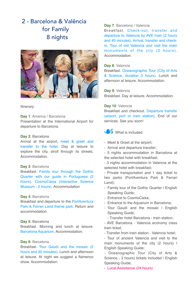## 2 - Barcelona & Valência for Family 8 nights



Itinerary:

**Day 1**: America / Barcelona Presentation at the International Airport for departure to Barcelona.

#### **Day 2**: Barcelona

Arrival at the airport, meet & greet and transfer to the hotel. Day at leisure to explore the city, stroll through its streets. Accommodation.

#### **Day 3**: Barcelona

Breakfast. Family tour through the Gothic Quarter with our guide in Portuguese (2 hours). CosmoCaixa (Interactive Science Museum - 2 hours). Accommodation

#### **Day 4**: Barcelona

Breakfast and departure to the PortAventura Park & Ferrari Land theme park. Return and accommodation.

#### **Day 5**: Barcelona

Breakfast. Morning and lunch at leisure. Barcelona Aquarium. Accommodation.

#### **Day 6**: Barcelona

Breakfast. Tour Gaudí and the mosaic (2 hours and 30 minutes). Lunch and afternoon at leisure. At night we suggest a flamenco show. Accommodation.

#### **Day 7**: Barcelona / Valencia

Breakfast. Check-out, transfer and departure to Valencia by AVE train (2 hours and 40 minutes). Arrival, transfer and checkin. Tour of old Valencia and visit the main monuments of the city (2 hours). Accommodation.

#### **Day 8**: Valencia

Breakfast. Oceanographic Tour (City of Arts & Science, duration 3 hours). Lunch and afternoon at leisure. Accommodation.

**Day 9**: Valencia Breakfast. Day at leisure. Accommodation.

#### **Day 10**: Valencia

Breakfast and checkout. Departure transfer (airport, port or train station). End of our services. See you soon!

What is included:

- Meet & Greet at the airport;
- Arrival and departure transfer;
- 5 nights accommodation in Barcelona at the selected hotel with breakfast;
- 3 nights accommodation in Valencia at the selected hotel with breakfast;

- Private transportation and 1 day ticket to two parks (PortAventura Park & Ferrari Land);

- Family tour of the Gothic Quarter I English Speaking Guide;
- Entrance to CosmoCaixa;
- Entrance to the Aquarium in Barcelona;
- Tour Gaudí and the mosaic I English Speaking Guide;
	- Transfer hotel Barcelona train station;
- AVE Barcelona Valencia economy class train ticket.
- Transfer from train station Valencia hotel;

- Tour of ancient Valencia and visit to the main monuments of the city (2 hours) I English Speaking Guide;

- Oceanographic Tour (City of Arts & Science - 3 hours) tickets included I English Speaking Guide;

- Local Assistance (24 hours).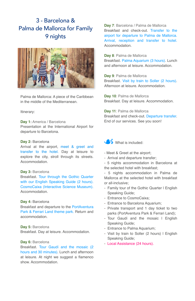# 3 - Barcelona & Palma de Mallorca for Family 9 nights



Palma de Mallorca: A piece of the Caribbean in the middle of the Mediterranean.

#### Itinerary:

**Day 1:** America / Barcelona

Presentation at the International Airport for departure to Barcelona.

#### **Day 2:** Barcelona

Arrival at the airport, meet & greet and transfer to the hotel. Day at leisure to explore the city, stroll through its streets. Accommodation.

#### **Day 3:** Barcelona

Breakfast. Tour through the Gothic Quarter with our English Speaking Guide (2 hours). CosmoCaixa (Interactive Science Museum). **Accommodation** 

#### **Day 4:** Barcelona

Breakfast and departure to the PortAventura Park & Ferrari Land theme park. Return and accommodation.

**Day 5:** Barcelona Breakfast. Day at leisure. Accommodation.

#### **Day 6:** Barcelona

Breakfast. Tour Gaudí and the mosaic (2 hours and 30 minutes). Lunch and afternoon at leisure. At night we suggest a flamenco show. Accommodation.

**Day 7**: Barcelona / Palma de Mallorca Breakfast and check-out. Transfer to the airport for departure to Palma de Mallorca. Arrival, reception and transfer to hotel. Accommodation.

#### **Day 8**: Palma de Mallorca

Breakfast. Palma Aquarium (3 hours). Lunch and afternoon at leisure. Accommodation.

**Day 9**: Palma de Mallorca Breakfast. Visit by train to Soller (2 hours). Afternoon at leisure. Accommodation.

**Day 10**: Palma de Mallorca Breakfast. Day at leisure. Accommodation.

**Day 11**: Palma de Mallorca Breakfast and check-out. Departure transfer. End of our services. See you soon!



- Meet & Greet at the airport;
- Arrival and departure transfer;
- 5 nights accommodation in Barcelona at the selected hotel with breakfast;

- 5 nights accommodation in Palma de Mallorca at the selected hotel with breakfast or all-inclusive;

- Family tour of the Gothic Quarter I English Speaking Guide;
- Entrance to CosmoCaixa;
- Entrance to Barcelona Aquarium;
- Private transport and 1 day ticket to two parks (PortAventura Park & Ferrari Land);
- Tour Gaudí and the mosaic I English Speaking Guide;
- Entrance to Palma Aquarium;
- Visit by train to Soller (2 hours) I English Speaking Guide;
- Local Assistance (24 hours).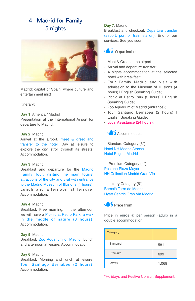# 4 - Madrid for Family 5 nights



Madrid: capital of Spain, where culture and entertainment mix!

Itinerary:

**Day 1**: America / Madrid Presentation at the International Airport for departure to Madrid.

#### **Day 2**: Madrid

Arrival at the airport, meet & greet and transfer to the hotel. Day at leisure to explore the city, stroll through its streets. Accommodation.

#### **Day 3**: Madrid

Breakfast and departure for the Madrid Family Tour, visiting the main tourist attractions of the city and visit with entrance to the Madrid Museum of Illusions (4 hours). Lunch and afternoon at leisure. **Accommodation** 

#### **Day 4**: Madrid

Breakfast. Free morning. In the afternoon we will have a Pic-nic at Retiro Park, a walk in the middle of nature (3 hours). Accommodation.

#### **Day 5**: Madrid

Breakfast. Zoo Aquarium of Madrid. Lunch and afternoon at leisure. Accommodation

#### **Day 6**: Madrid

Breakfast. Morning and lunch at leisure. Tour Santiago Bernabeu (2 hours). **Accommodation** 

#### **Day 7**: Madrid

Breakfast and checkout. Departure transfer (airport, port or train station). End of our services. See you soon!



- Meet & Greet at the airport;
- Arrival and departure transfer;
- 4 nights accommodation at the selected hotel with breakfast;
- Tour Family Madrid and visit with admission to the Museum of Illusions (4 hours) I English Speaking Guide;
- Picnic at Retiro Park (3 hours) | English Speaking Guide;
- Zoo Aquarium of Madrid (entrance);
- Tour Santiago Bernabeu (2 hours) | English Speaking Guide;
- Local Assistance (24 hours).



- Standard Category (3\*): Hotel NH Madrid Atocha Hotel Regina Madrid

- Premium Category (4\*): Pestana Plaza Mayor NH Collection Madrid Gran Vía

- Luxury Category (5\*) Barceló Torre de Madrid Hyatt Centric Gran Via Madrid



Price in euros € per person (adult) in a double accommodation.

| Category |       |
|----------|-------|
| Standard | 581   |
| Premium  | 699   |
| Luxury   | 1.069 |

\*Holidays and Festive Consult Supplement.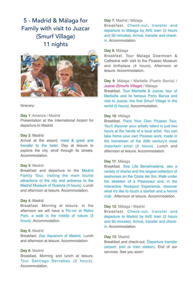## 5 - Madrid & Málaga for Family with visit to Juzcar (Smurf Village) 11 nights



#### Itinerary:

**Day 1**: America / Madrid Presentation at the International Airport for departure to Madrid.

#### **Day 2**: Madrid

Arrival at the airport, meet & greet and transfer to the hotel. Day at leisure to explore the city, stroll through its streets. Accommodation.

#### **Day 3**: Madrid

Breakfast and departure to the Madrid Family Tour, visiting the main tourist attractions of the city and entrance to the Madrid Museum of Illusions (4 hours). Lunch and afternoon at leisure. Accommodation.

#### **Day 4**: Madrid

Breakfast. Morning at leisure. In the afternoon we will have a Pic-nic at Retiro Park, a walk in the middle of nature (3 hours). Accommodation.

#### **Day 5**: Madrid

Breakfast. Zoo Aquarium of Madrid. Lunch and afternoon at leisure. Accommodation.

#### **Day 6**: Madrid

Breakfast. Morning and lunch at leisure. Tour Santiago Bernabeu (2 hours). Accommodation.

#### **Day 7**: Madrid / Málaga

Breakfast. Check-out, transfer and departure to Málaga by AVE train (2 hours and 50 minutes). Arrival, transfer and checkin. Accommodation.

#### **Day 8**: Málaga

Breakfast. Tour Malaga Downtown & Cathedral with visit to the Picasso Museum and birthplace (4 hours). Afternoon at leisure. Accommodation.

#### **Day 9**: Málaga / Marbella (Puerto Banús) / Juzcar (Smurfs Village) / Málaga

Breakfast. Tour Marbella & Juzcar, tour of Marbella and its famous Porto Banús and visit to Juzcar, the first Smurf Village in the world (5 hours). Accommodation.

#### **Day 10**: Málaga

Breakfast. Paint Your Own Picasso Tour, You'll discover your artistic talent in just two hours at the hands of a local artist. You can take home your own Picasso work, made in the hometown of the 20th century's most important artist (2 hours). Lunch and afternoon at leisure. Accommodation.

#### **Day 11**: Málaga

Breakfast. Sea Life Benalmadena, see a variety of sharks and the largest collection of seahorses on the Costa del Sol. Walk under the skeleton of a Plesiosaur and, in the Interactive Rockpool Experience, discover what it's like to touch a starfish and a hermit crab . Afternoon at leisure. Accommodation.

#### **Day 12**: Málaga / Madrid

Breakfast. Check-out, transfer and departure to Madrid by AVE train (2 hours and 50 minutes). Arrival, transfer and checkin. Accommodation.

#### **Day 13**: Madrid

Breakfast and check-out. Departure transfer (airport, port or train station). End of our services. See you soon!